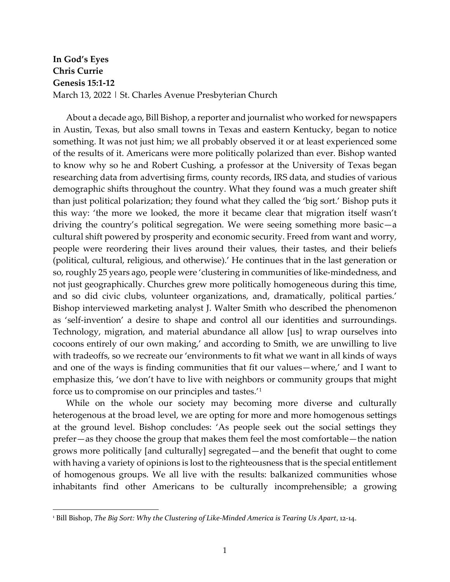## **In God's Eyes Chris Currie Genesis 15:1-12** March 13, 2022 | St. Charles Avenue Presbyterian Church

About a decade ago, Bill Bishop, a reporter and journalist who worked for newspapers in Austin, Texas, but also small towns in Texas and eastern Kentucky, began to notice something. It was not just him; we all probably observed it or at least experienced some of the results of it. Americans were more politically polarized than ever. Bishop wanted to know why so he and Robert Cushing, a professor at the University of Texas began researching data from advertising firms, county records, IRS data, and studies of various demographic shifts throughout the country. What they found was a much greater shift than just political polarization; they found what they called the 'big sort.' Bishop puts it this way: 'the more we looked, the more it became clear that migration itself wasn't driving the country's political segregation. We were seeing something more basic—a cultural shift powered by prosperity and economic security. Freed from want and worry, people were reordering their lives around their values, their tastes, and their beliefs (political, cultural, religious, and otherwise).' He continues that in the last generation or so, roughly 25 years ago, people were 'clustering in communities of like-mindedness, and not just geographically. Churches grew more politically homogeneous during this time, and so did civic clubs, volunteer organizations, and, dramatically, political parties.' Bishop interviewed marketing analyst J. Walter Smith who described the phenomenon as 'self-invention' a desire to shape and control all our identities and surroundings. Technology, migration, and material abundance all allow [us] to wrap ourselves into cocoons entirely of our own making,' and according to Smith, we are unwilling to live with tradeoffs, so we recreate our 'environments to fit what we want in all kinds of ways and one of the ways is finding communities that fit our values—where,' and I want to emphasize this, 'we don't have to live with neighbors or community groups that might force us to compromise on our principles and tastes.'[1](#page-0-0)

While on the whole our society may becoming more diverse and culturally heterogenous at the broad level, we are opting for more and more homogenous settings at the ground level. Bishop concludes: 'As people seek out the social settings they prefer—as they choose the group that makes them feel the most comfortable—the nation grows more politically [and culturally] segregated—and the benefit that ought to come with having a variety of opinions is lost to the righteousness that is the special entitlement of homogenous groups. We all live with the results: balkanized communities whose inhabitants find other Americans to be culturally incomprehensible; a growing

<span id="page-0-0"></span><sup>1</sup> Bill Bishop, *The Big Sort: Why the Clustering of Like-Minded America is Tearing Us Apart*, 12-14.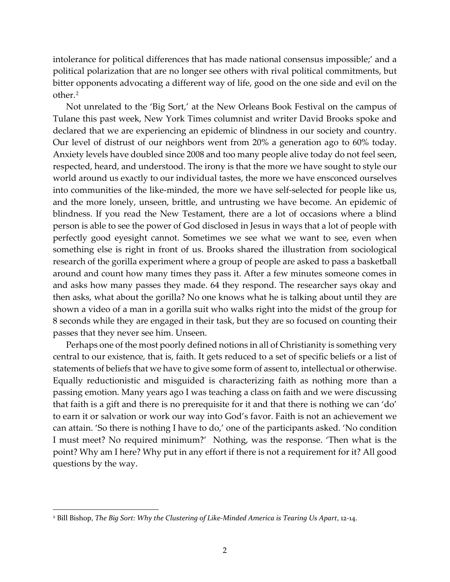intolerance for political differences that has made national consensus impossible;' and a political polarization that are no longer see others with rival political commitments, but bitter opponents advocating a different way of life, good on the one side and evil on the other.[2](#page-1-0)

Not unrelated to the 'Big Sort,' at the New Orleans Book Festival on the campus of Tulane this past week, New York Times columnist and writer David Brooks spoke and declared that we are experiencing an epidemic of blindness in our society and country. Our level of distrust of our neighbors went from 20% a generation ago to 60% today. Anxiety levels have doubled since 2008 and too many people alive today do not feel seen, respected, heard, and understood. The irony is that the more we have sought to style our world around us exactly to our individual tastes, the more we have ensconced ourselves into communities of the like-minded, the more we have self-selected for people like us, and the more lonely, unseen, brittle, and untrusting we have become. An epidemic of blindness. If you read the New Testament, there are a lot of occasions where a blind person is able to see the power of God disclosed in Jesus in ways that a lot of people with perfectly good eyesight cannot. Sometimes we see what we want to see, even when something else is right in front of us. Brooks shared the illustration from sociological research of the gorilla experiment where a group of people are asked to pass a basketball around and count how many times they pass it. After a few minutes someone comes in and asks how many passes they made. 64 they respond. The researcher says okay and then asks, what about the gorilla? No one knows what he is talking about until they are shown a video of a man in a gorilla suit who walks right into the midst of the group for 8 seconds while they are engaged in their task, but they are so focused on counting their passes that they never see him. Unseen.

Perhaps one of the most poorly defined notions in all of Christianity is something very central to our existence, that is, faith. It gets reduced to a set of specific beliefs or a list of statements of beliefs that we have to give some form of assent to, intellectual or otherwise. Equally reductionistic and misguided is characterizing faith as nothing more than a passing emotion. Many years ago I was teaching a class on faith and we were discussing that faith is a gift and there is no prerequisite for it and that there is nothing we can 'do' to earn it or salvation or work our way into God's favor. Faith is not an achievement we can attain. 'So there is nothing I have to do,' one of the participants asked. 'No condition I must meet? No required minimum?' Nothing, was the response. 'Then what is the point? Why am I here? Why put in any effort if there is not a requirement for it? All good questions by the way.

<span id="page-1-0"></span><sup>2</sup> Bill Bishop, *The Big Sort: Why the Clustering of Like-Minded America is Tearing Us Apart*, 12-14.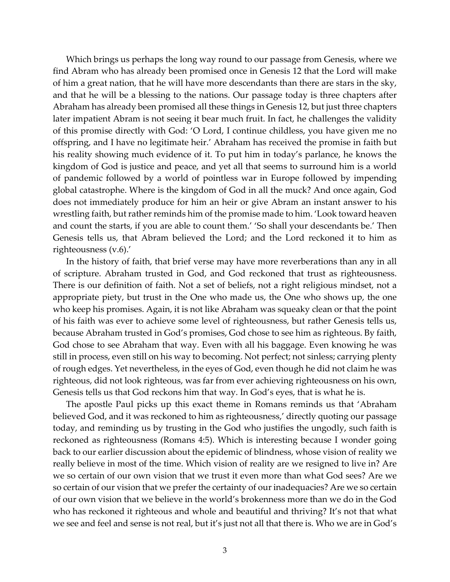Which brings us perhaps the long way round to our passage from Genesis, where we find Abram who has already been promised once in Genesis 12 that the Lord will make of him a great nation, that he will have more descendants than there are stars in the sky, and that he will be a blessing to the nations. Our passage today is three chapters after Abraham has already been promised all these things in Genesis 12, but just three chapters later impatient Abram is not seeing it bear much fruit. In fact, he challenges the validity of this promise directly with God: 'O Lord, I continue childless, you have given me no offspring, and I have no legitimate heir.' Abraham has received the promise in faith but his reality showing much evidence of it. To put him in today's parlance, he knows the kingdom of God is justice and peace, and yet all that seems to surround him is a world of pandemic followed by a world of pointless war in Europe followed by impending global catastrophe. Where is the kingdom of God in all the muck? And once again, God does not immediately produce for him an heir or give Abram an instant answer to his wrestling faith, but rather reminds him of the promise made to him. 'Look toward heaven and count the starts, if you are able to count them.' 'So shall your descendants be.' Then Genesis tells us, that Abram believed the Lord; and the Lord reckoned it to him as righteousness (v.6).'

In the history of faith, that brief verse may have more reverberations than any in all of scripture. Abraham trusted in God, and God reckoned that trust as righteousness. There is our definition of faith. Not a set of beliefs, not a right religious mindset, not a appropriate piety, but trust in the One who made us, the One who shows up, the one who keep his promises. Again, it is not like Abraham was squeaky clean or that the point of his faith was ever to achieve some level of righteousness, but rather Genesis tells us, because Abraham trusted in God's promises, God chose to see him as righteous. By faith, God chose to see Abraham that way. Even with all his baggage. Even knowing he was still in process, even still on his way to becoming. Not perfect; not sinless; carrying plenty of rough edges. Yet nevertheless, in the eyes of God, even though he did not claim he was righteous, did not look righteous, was far from ever achieving righteousness on his own, Genesis tells us that God reckons him that way. In God's eyes, that is what he is.

The apostle Paul picks up this exact theme in Romans reminds us that 'Abraham believed God, and it was reckoned to him as righteousness,' directly quoting our passage today, and reminding us by trusting in the God who justifies the ungodly, such faith is reckoned as righteousness (Romans 4:5). Which is interesting because I wonder going back to our earlier discussion about the epidemic of blindness, whose vision of reality we really believe in most of the time. Which vision of reality are we resigned to live in? Are we so certain of our own vision that we trust it even more than what God sees? Are we so certain of our vision that we prefer the certainty of our inadequacies? Are we so certain of our own vision that we believe in the world's brokenness more than we do in the God who has reckoned it righteous and whole and beautiful and thriving? It's not that what we see and feel and sense is not real, but it's just not all that there is. Who we are in God's